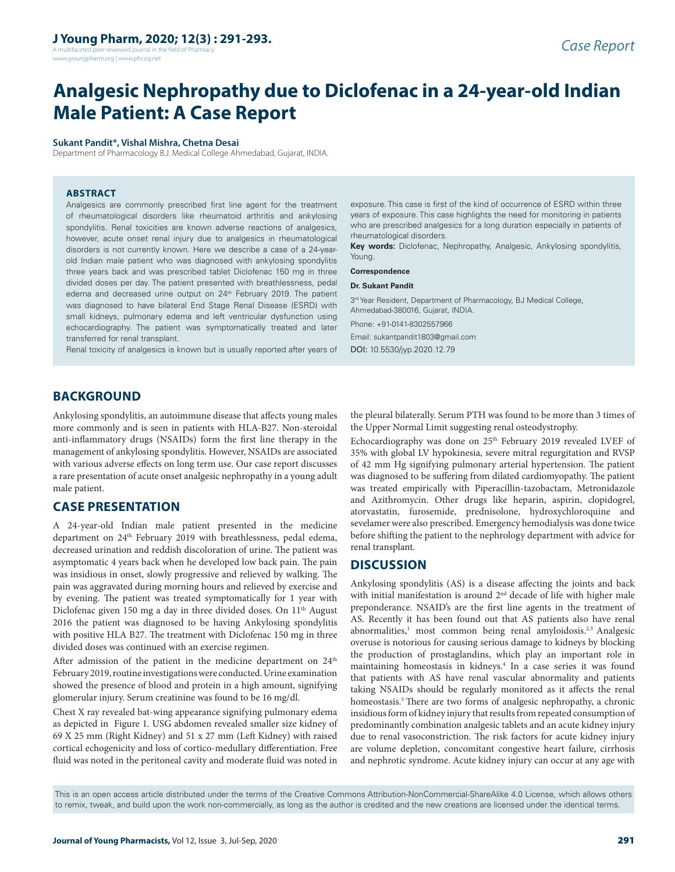A multifaceted peer reviewed journal in the field of Pharm www.jyoungpharm.org | www.phcog.net

# **Analgesic Nephropathy due to Diclofenac in a 24-year-old Indian Male Patient: A Case Report**

#### **Sukant Pandit\*, Vishal Mishra, Chetna Desai**

Department of Pharmacology B.J. Medical College Ahmedabad, Gujarat, INDIA.

#### **ABSTRACT**

Analgesics are commonly prescribed first line agent for the treatment of rheumatological disorders like rheumatoid arthritis and ankylosing spondylitis. Renal toxicities are known adverse reactions of analgesics, however, acute onset renal injury due to analgesics in rheumatological disorders is not currently known. Here we describe a case of a 24-yearold Indian male patient who was diagnosed with ankylosing spondylitis three years back and was prescribed tablet Diclofenac 150 mg in three divided doses per day. The patient presented with breathlessness, pedal edema and decreased urine output on 24<sup>th</sup> February 2019. The patient was diagnosed to have bilateral End Stage Renal Disease (ESRD) with small kidneys, pulmonary edema and left ventricular dysfunction using echocardiography. The patient was symptomatically treated and later transferred for renal transplant.

Renal toxicity of analgesics is known but is usually reported after years of

exposure. This case is first of the kind of occurrence of ESRD within three years of exposure. This case highlights the need for monitoring in patients who are prescribed analgesics for a long duration especially in patients of rheumatological disorders.

**Key words:** Diclofenac, Nephropathy, Analgesic, Ankylosing spondylitis, Young.

#### **Correspondence**

**Dr. Sukant Pandit**

3rd Year Resident, Department of Pharmacology, BJ Medical College, Ahmedabad-380016, Gujarat, INDIA.

Phone: +91-0141-8302557966 Email: sukantpandit1803@gmail.com DOI: 10.5530/jyp.2020.12.79

# **BACKGROUND**

Ankylosing spondylitis, an autoimmune disease that affects young males more commonly and is seen in patients with HLA-B27. Non-steroidal anti-inflammatory drugs (NSAIDs) form the first line therapy in the management of ankylosing spondylitis. However, NSAIDs are associated with various adverse effects on long term use. Our case report discusses a rare presentation of acute onset analgesic nephropathy in a young adult male patient.

# **CASE PRESENTATION**

A 24-year-old Indian male patient presented in the medicine department on 24<sup>th</sup> February 2019 with breathlessness, pedal edema, decreased urination and reddish discoloration of urine. The patient was asymptomatic 4 years back when he developed low back pain. The pain was insidious in onset, slowly progressive and relieved by walking. The pain was aggravated during morning hours and relieved by exercise and by evening. The patient was treated symptomatically for 1 year with Diclofenac given 150 mg a day in three divided doses. On 11<sup>th</sup> August 2016 the patient was diagnosed to be having Ankylosing spondylitis with positive HLA B27. The treatment with Diclofenac 150 mg in three divided doses was continued with an exercise regimen.

After admission of the patient in the medicine department on 24<sup>th</sup> February 2019, routine investigations were conducted. Urine examination showed the presence of blood and protein in a high amount, signifying glomerular injury. Serum creatinine was found to be 16 mg/dl.

Chest X ray revealed bat-wing appearance signifying pulmonary edema as depicted in Figure 1. USG abdomen revealed smaller size kidney of 69 X 25 mm (Right Kidney) and 51 x 27 mm (Left Kidney) with raised cortical echogenicity and loss of cortico-medullary differentiation. Free fluid was noted in the peritoneal cavity and moderate fluid was noted in

the pleural bilaterally. Serum PTH was found to be more than 3 times of the Upper Normal Limit suggesting renal osteodystrophy.

Echocardiography was done on 25<sup>th</sup> February 2019 revealed LVEF of 35% with global LV hypokinesia, severe mitral regurgitation and RVSP of 42 mm Hg signifying pulmonary arterial hypertension. The patient was diagnosed to be suffering from dilated cardiomyopathy. The patient was treated empirically with Piperacillin-tazobactam, Metronidazole and Azithromycin. Other drugs like heparin, aspirin, clopidogrel, atorvastatin, furosemide, prednisolone, hydroxychloroquine and sevelamer were also prescribed. Emergency hemodialysis was done twice before shifting the patient to the nephrology department with advice for renal transplant.

# **DISCUSSION**

Ankylosing spondylitis (AS) is a disease affecting the joints and back with initial manifestation is around  $2<sup>nd</sup>$  decade of life with higher male preponderance. NSAID's are the first line agents in the treatment of AS. Recently it has been found out that AS patients also have renal abnormalities,<sup>1</sup> most common being renal amyloidosis.<sup>2,3</sup> Analgesic overuse is notorious for causing serious damage to kidneys by blocking the production of prostaglandins, which play an important role in maintaining homeostasis in kidneys.4 In a case series it was found that patients with AS have renal vascular abnormality and patients taking NSAIDs should be regularly monitored as it affects the renal homeostasis.<sup>5</sup> There are two forms of analgesic nephropathy, a chronic insidious form of kidney injury that results from repeated consumption of predominantly combination analgesic tablets and an acute kidney injury due to renal vasoconstriction. The risk factors for acute kidney injury are volume depletion, concomitant congestive heart failure, cirrhosis and nephrotic syndrome. Acute kidney injury can occur at any age with

This is an open access article distributed under the terms of the Creative Commons Attribution-NonCommercial-ShareAlike 4.0 License, which allows others to remix, tweak, and build upon the work non-commercially, as long as the author is credited and the new creations are licensed under the identical terms.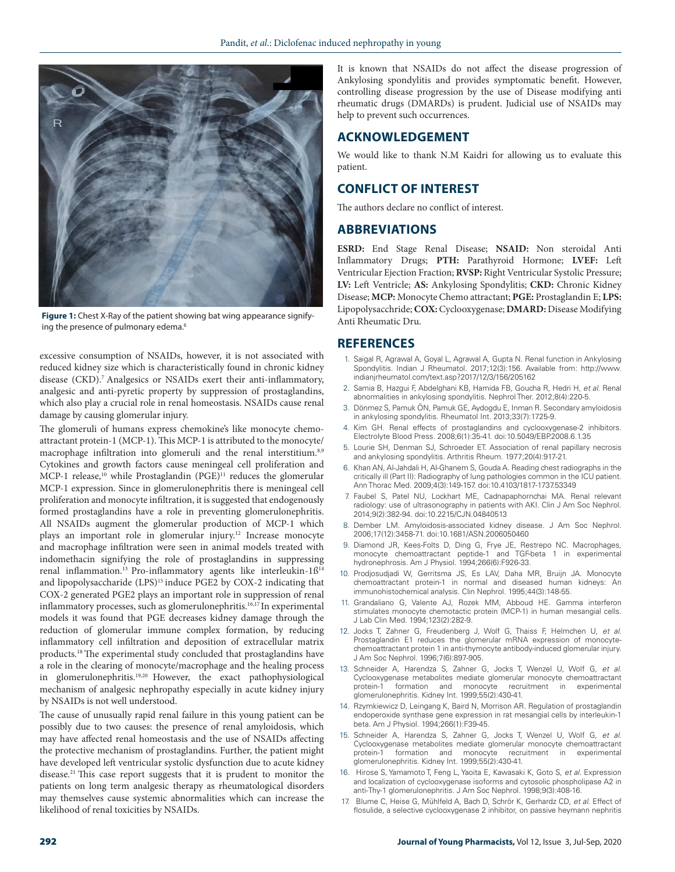

Figure 1: Chest X-Ray of the patient showing bat wing appearance signifying the presence of pulmonary edema.<sup>6</sup>

excessive consumption of NSAIDs, however, it is not associated with reduced kidney size which is characteristically found in chronic kidney disease (CKD).<sup>7</sup> Analgesics or NSAIDs exert their anti-inflammatory, analgesic and anti-pyretic property by suppression of prostaglandins, which also play a crucial role in renal homeostasis. NSAIDs cause renal damage by causing glomerular injury.

The glomeruli of humans express chemokine's like monocyte chemoattractant protein-1 (MCP-1). This MCP-1 is attributed to the monocyte/ macrophage infiltration into glomeruli and the renal interstitium.<sup>8,9</sup> Cytokines and growth factors cause meningeal cell proliferation and MCP-1 release,<sup>10</sup> while Prostaglandin (PGE)<sup>11</sup> reduces the glomerular MCP-1 expression. Since in glomerulonephritis there is meningeal cell proliferation and monocyte infiltration, it is suggested that endogenously formed prostaglandins have a role in preventing glomerulonephritis. All NSAIDs augment the glomerular production of MCP-1 which plays an important role in glomerular injury.12 Increase monocyte and macrophage infiltration were seen in animal models treated with indomethacin signifying the role of prostaglandins in suppressing renal inflammation.<sup>13</sup> Pro-inflammatory agents like interleukin-1ß<sup>14</sup> and lipopolysaccharide (LPS)<sup>15</sup> induce PGE2 by COX-2 indicating that COX-2 generated PGE2 plays an important role in suppression of renal inflammatory processes, such as glomerulonephritis. $16,17$  In experimental models it was found that PGE decreases kidney damage through the reduction of glomerular immune complex formation, by reducing inflammatory cell infiltration and deposition of extracellular matrix products.18 The experimental study concluded that prostaglandins have a role in the clearing of monocyte/macrophage and the healing process in glomerulonephritis.19,20 However, the exact pathophysiological mechanism of analgesic nephropathy especially in acute kidney injury by NSAIDs is not well understood.

The cause of unusually rapid renal failure in this young patient can be possibly due to two causes: the presence of renal amyloidosis, which may have affected renal homeostasis and the use of NSAIDs affecting the protective mechanism of prostaglandins. Further, the patient might have developed left ventricular systolic dysfunction due to acute kidney disease.21 This case report suggests that it is prudent to monitor the patients on long term analgesic therapy as rheumatological disorders may themselves cause systemic abnormalities which can increase the likelihood of renal toxicities by NSAIDs.

It is known that NSAIDs do not affect the disease progression of Ankylosing spondylitis and provides symptomatic benefit. However, controlling disease progression by the use of Disease modifying anti rheumatic drugs (DMARDs) is prudent. Judicial use of NSAIDs may help to prevent such occurrences.

#### **ACKNOWLEDGEMENT**

We would like to thank N.M Kaidri for allowing us to evaluate this patient.

## **CONFLICT OF INTEREST**

The authors declare no conflict of interest.

### **ABBREVIATIONS**

**ESRD:** End Stage Renal Disease; **NSAID:** Non steroidal Anti Inflammatory Drugs; **PTH:** Parathyroid Hormone; **LVEF:** Left Ventricular Ejection Fraction; **RVSP:** Right Ventricular Systolic Pressure; **LV:** Left Ventricle; **AS:** Ankylosing Spondylitis; **CKD:** Chronic Kidney Disease; **MCP:** Monocyte Chemo attractant; **PGE:** Prostaglandin E; **LPS:**  Lipopolysacchride; **COX:** Cyclooxygenase; **DMARD:** Disease Modifying Anti Rheumatic Dru.

## **REFERENCES**

- Saigal R, Agrawal A, Goyal L, Agrawal A, Gupta N. Renal function in Ankylosing Spondylitis. Indian J Rheumatol. 2017;12(3):156. Available from: http://www. indianjrheumatol.com/text.asp?2017/12/3/156/205162
- 2. Samia B, Hazgui F, Abdelghani KB, Hamida FB, Goucha R, Hedri H, *et al.* Renal abnormalities in ankylosing spondylitis. Nephrol Ther. 2012;8(4):220-5.
- 3. Dönmez S, Pamuk ÖN, Pamuk GE, Aydogdu E, Inman R. Secondary amyloidosis in ankylosing spondylitis. Rheumatol Int. 2013;33(7):1725-9.
- 4. Kim GH. Renal effects of prostaglandins and cyclooxygenase-2 inhibitors. Electrolyte Blood Press. 2008;6(1):35-41. doi:10.5049/EBP.2008.6.1.35
- 5. Lourie SH, Denman SJ, Schroeder ET. Association of renal papillary necrosis and ankylosing spondylitis. Arthritis Rheum. 1977;20(4):917-21.
- 6. Khan AN, Al-Jahdali H, Al-Ghanem S, Gouda A. Reading chest radiographs in the critically ill (Part II): Radiography of lung pathologies common in the ICU patient. Ann Thorac Med. 2009;4(3):149-157. doi:10.4103/1817-1737.53349
- 7. Faubel S, Patel NU, Lockhart ME, Cadnapaphornchai MA. Renal relevant radiology: use of ultrasonography in patients with AKI. Clin J Am Soc Nephrol. 2014;9(2):382‐94. doi:10.2215/CJN.04840513
- 8. Dember LM. Amyloidosis-associated kidney disease. J Am Soc Nephrol. 2006;17(12):3458-71. doi:10.1681/ASN.2006050460
- 9. Diamond JR, Kees-Folts D, Ding G, Frye JE, Restrepo NC. Macrophages, monocyte chemoattractant peptide-1 and TGF-beta 1 in experimental hydronephrosis. Am J Physiol. 1994;266(6):F926-33.
- 10. Prodjosudjadi W, Gerritsma JS, Es LAV, Daha MR, Bruijn JA. Monocyte chemoattractant protein-1 in normal and diseased human kidneys: An immunohistochemical analysis. Clin Nephrol. 1995;44(3):148-55.
- 11. Grandaliano G, Valente AJ, Rozek MM, Abboud HE. Gamma interferon stimulates monocyte chemotactic protein (MCP-1) in human mesangial cells. J Lab Clin Med. 1994;123(2):282-9.
- 12. Jocks T, Zahner G, Freudenberg J, Wolf G, Thaiss F, Helmchen U, *et al*. Prostaglandin E1 reduces the glomerular mRNA expression of monocytechemoattractant protein 1 in anti-thymocyte antibody-induced glomerular injury. J Am Soc Nephrol. 1996;7(6):897-905.
- 13. Schneider A, Harendza S, Zahner G, Jocks T, Wenzel U, Wolf G, *et al*. Cyclooxygenase metabolites mediate glomerular monocyte chemoattractant protein-1 formation and monocyte recruitment in experimental protein-1 formation and monocyte glomerulonephritis. Kidney Int. 1999;55(2):430-41.
- 14. Rzymkiewicz D, Leingang K, Baird N, Morrison AR. Regulation of prostaglandin endoperoxide synthase gene expression in rat mesangial cells by interleukin-1 beta. Am J Physiol. 1994;266(1):F39-45.
- 15. Schneider A, Harendza S, Zahner G, Jocks T, Wenzel U, Wolf G, *et al*. Cyclooxygenase metabolites mediate glomerular monocyte chemoattractant protein-1 formation and monocyte recruitment in experimental glomerulonephritis. Kidney Int. 1999;55(2):430-41.
- 16. Hirose S, Yamamoto T, Feng L, Yaoita E, Kawasaki K, Goto S, *et al*. Expression and localization of cyclooxygenase isoforms and cytosolic phospholipase A2 in anti-Thy-1 glomerulonephritis. J Am Soc Nephrol. 1998;9(3):408-16.
- 17. Blume C, Heise G, Mühlfeld A, Bach D, Schrör K, Gerhardz CD, *et al*. Effect of flosulide, a selective cyclooxygenase 2 inhibitor, on passive heymann nephritis